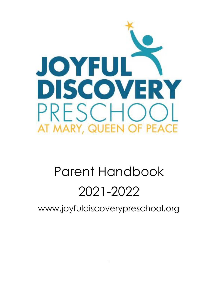

# Parent Handbook 2021-2022

www.joyfuldiscoverypreschool.org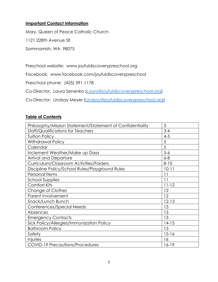## **Important Contact Information**

Mary, Queen of Peace Catholic Church

1121 228th Avenue SE

Sammamish, WA 98075

Preschool website: www.joyfuldiscoverypreschool.org

Facebook: www.facebook.com/joyfuldiscoverypreschool

Preschool phone: (425) 391-1178

Co-Director: Laura Senenko [\(Laura@joyfuldiscoverypreschool.org\)](Laura@joyfuldiscoverypreschool.org)

Co-Director: Lindsay Meyer [\(Lindsay@joyfuldiscoverypreschool.org\)](mailto:Lindsay@joyfuldiscoverypreschool.org)

#### **Table of Contents**

| Philosophy/Mission Statement/Statement of Confidentiality | 3         |
|-----------------------------------------------------------|-----------|
| <b>Staff/Qualifications for Teachers</b>                  | $3 - 4$   |
| <b>Tuition Policy</b>                                     | $4 - 5$   |
| <b>Withdrawal Policy</b>                                  | 5         |
| Calendar                                                  | 5         |
| Inclement Weather/Make up Days                            | $5-6$     |
| <b>Arrival and Departure</b>                              | $6 - 8$   |
| Curriculum/Classroom Activities/Folders                   | $8 - 10$  |
| Discipline Policy/School Rules/Playground Rules           | $10 - 11$ |
| Personal Items                                            | 11        |
| <b>School Supplies</b>                                    | 11        |
| <b>Comfort Kits</b>                                       | $11 - 12$ |
| Change of Clothes                                         | 12        |
| Parent Involvement                                        | 12        |
| Snack/Lunch Bunch                                         | $12 - 13$ |
| Conferences/Special Needs                                 | 13        |
| Absences                                                  | 13        |
| <b>Emergency Contacts</b>                                 | 13        |
| Sick Policy/Allergies/Immunization Policy                 | $14-15$   |
| <b>Bathroom Policy</b>                                    | 15        |
| Safety                                                    | $15 - 16$ |
| Injuries                                                  | 16        |
| <b>COVID-19 Precautions/Procedures</b>                    | $16-19$   |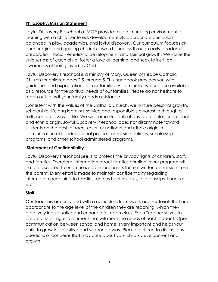## **Philosophy/Mission Statement**

Joyful Discovery Preschool at MQP provides a safe, nurturing environment of learning with a child centered, developmentally appropriate curriculum balanced in play, academics, and joyful discovery. Our curriculum focuses on encouraging and guiding children towards success through early academic preparation, social- emotional development, and spiritual growth. We value the uniqueness of each child, foster a love of learning, and seek to instill an awareness of being loved by God.

Joyful Discovery Preschool is a ministry of Mary, Queen of Peace Catholic Church for children ages 2.5 through 5. This handbook provides you with guidelines and expectations for our families. As a ministry, we are also available as a resource for the spiritual needs of our families. Please do not hesitate to reach out to us if your family needs assistance.

Consistent with the values of the Catholic Church, we nurture personal growth, scholarship, lifelong learning, service and responsible stewardship through a faith-centered way of life. We welcome students of any race, color, or national and ethnic origin. Joyful Discovery Preschool does not discriminate toward students on the basis of race, color, or national and ethnic origin in administration of its educational policies, admission policies, scholarship programs, and other school administered programs.

## **Statement of Confidentiality**

Joyful Discovery Preschool seeks to protect the privacy rights of children, staff, and families. Therefore, information about families enrolled in our program will not be disclosed to unauthorized persons unless there is written permission from the parent. Every effort is made to maintain confidentiality regarding information pertaining to families such as health status, relationships, finances, etc.

## **Staff**

Our Teachers are provided with a curriculum framework and materials that are appropriate to the age level of the children they are teaching, which they creatively individualize and enhance for each class. Each Teacher strives to create a learning environment that will meet the needs of each student. Open communication between school and home is very important and helps your child to grow in a positive and supported way. Please feel free to discuss any questions or concerns that may arise about your child's development and growth.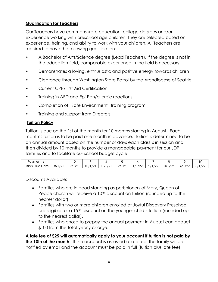# **Qualification for Teachers**

Our Teachers have commensurate education, college degrees and/or experience working with preschool age children. They are selected based on experience, training, and ability to work with your children. All Teachers are required to have the following qualifications:

- A Bachelor of Arts/Science degree (Lead Teachers). If the degree is not in the education field, comparable experience in the field is necessary.
- Demonstrates a loving, enthusiastic and positive energy towards children
- Clearance through Washington State Patrol by the Archdiocese of Seattle
- Current CPR/First Aid Certification
- Training in AED and Epi-Pen/allergic reactions
- Completion of "Safe Environment" training program
- Training and support from Directors

## **Tuition Policy**

Tuition is due on the 1st of the month for 10 months starting in August. Each month's tuition is to be paid one month in advance. Tuition is determined to be an annual amount based on the number of days each class is in session and then divided by 10 months to provide a manageable payment for our JDP families and to facilitate our school budget cycle.

| Payment +                                       |                       | -                      |                     |                      |                        |                 |                        |                                               |                                 | . .                                      |
|-------------------------------------------------|-----------------------|------------------------|---------------------|----------------------|------------------------|-----------------|------------------------|-----------------------------------------------|---------------------------------|------------------------------------------|
| Tuition<br>$\overline{\phantom{0}}$<br>Due Date | 11101<br>ີ<br>Õ۱<br>▵ | 101<br>0/1<br><u>_</u> | 101<br>0/<br>$\sim$ | 10 <sub>1</sub><br>∸ | /2<br>12/1<br><u>_</u> | $\sqrt{2}$<br>້ | $\sqrt{2}$<br>ॱ∠∠<br>∠ | $\sqrt{2}$<br>- - -<br>$\cup$<br>. <i>.</i> . | $\sqrt{2}$<br>$\sim$<br>4<br>∠∠ | 10 <sup>o</sup><br>$-11$<br>-<br>$1 + 1$ |

Discounts Available:

- Families who are in good standing as parishioners of Mary, Queen of Peace church will receive a 10% discount on tuition (rounded up to the nearest dollar).
- Families with two or more children enrolled at Joyful Discovery Preschool are eligible for a 15% discount on the younger child's tuition (rounded up to the nearest dollar).
- Families who chose to prepay the annual payment in August can deduct \$100 from the total yearly charge.

**A late fee of \$25 will automatically apply to your account if tuition is not paid by the 10th of the month**. If the account is assessed a late fee, the family will be notified by email and the account must be paid in full (tuition plus late fee)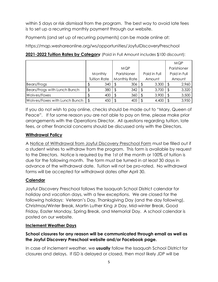within 5 days or risk dismissal from the program. The best way to avoid late fees is to set up a recurring monthly payment through our website.

Payments (and set up of recurring payments) can be made online at:

https://mqp.weshareonline.org/ws/opportunities/JoyfulDiscoveryPreschool

| 2021-2022 Tuition Rates by Category (Paid in Full Amount includes \$100 discount): |  |  |  |
|------------------------------------------------------------------------------------|--|--|--|
|------------------------------------------------------------------------------------|--|--|--|

|                               |                                |     |             |                     |              |        |              | <b>MQP</b> |
|-------------------------------|--------------------------------|-----|-------------|---------------------|--------------|--------|--------------|------------|
|                               |                                |     | <b>MQP</b>  |                     |              |        | Parishioner  |            |
|                               | Monthly<br><b>Tuition Rate</b> |     | Parishioner |                     | Paid in Full |        | Paid in Full |            |
|                               |                                |     |             | <b>Monthly Rate</b> |              | Amount |              | Amount     |
| Bears/Frogs                   |                                | 340 |             | 306                 |              | 3,300  |              | 2,960      |
| Bears/Frogs with Lunch Bunch  | \$                             | 380 |             | 342                 |              | 3,700  |              | 3,320      |
| Wolves/Foxes                  |                                | 400 |             | 360                 |              | 3,900  |              | 3,500      |
| Wolves/Foxes with Lunch Bunch | $\sqrt[6]{\frac{1}{2}}$        | 450 |             | 405                 |              | 4,400  |              | 3,950      |

If you do not wish to pay online, checks should be made out to "Mary, Queen of Peace". If for some reason you are not able to pay on time, please make prior arrangements with the Operations Director. All questions regarding tuition, late fees, or other financial concerns should be discussed only with the Directors.

## **Withdrawal Policy**

A Notice of Withdrawal from Joyful Discovery Preschool Form must be filled out if a student wishes to withdraw from the program. This form is available by request to the Directors. Notice is required by the 1st of the month or 100% of tuition is due for the following month. The form must be turned in at least 30 days in advance of the withdrawal date. Tuition will not be pro-rated. No withdrawal forms will be accepted for withdrawal dates after April 30.

## **Calendar**

Joyful Discovery Preschool follows the Issaquah School District calendar for holiday and vacation days, with a few exceptions. We are closed for the following holidays: Veteran's Day, Thanksgiving Day (and the day following), Christmas/Winter Break, Martin Luther King Jr Day, Mid-winter Break, Good Friday, Easter Monday, Spring Break, and Memorial Day. A school calendar is posted on our website.

## **Inclement Weather Days**

## **School closures for any reason will be communicated through email as well as the Joyful Discovery Preschool website and/or Facebook page.**

In case of inclement weather, we **usually** follow the Issaquah School District for closures and delays. If ISD is delayed or closed, then most likely JDP will be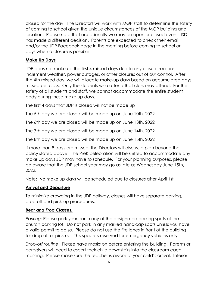closed for the day. The Directors will work with MQP staff to determine the safety of coming to school given the unique circumstances of the MQP building and location. Please note that occasionally we may be open or closed even if ISD has made a different decision. Parents are expected to check their email and/or the JDP Facebook page in the morning before coming to school on days when a closure is possible.

## **Make Up Days**

JDP does not make up the first 4 missed days due to any closure reasons: inclement weather, power outages, or other closures out of our control. After the 4th missed day, we will allocate make-up days based on accumulated days missed per class. Only the students who attend that class may attend. For the safety of all students and staff, we cannot accommodate the entire student body during these make up days.

The first 4 days that JDP is closed will not be made up

The 5th day we are closed will be made up on June 10th, 2022

The 6th day we are closed will be made up on June 13th, 2022

The 7th day we are closed will be made up on June 14th, 2022

The 8th day we are closed will be made up on June 15th, 2022

If more than 8 days are missed, the Directors will discuss a plan beyond the policy stated above. The PreK celebration will be shifted to accommodate any make up days JDP may have to schedule. For your planning purposes, please be aware that the JDP school year may go as late as Wednesday June 15th, 2022.

Note: No make up days will be scheduled due to closures after April 1st.

#### **Arrival and Departure**

To minimize crowding in the JDP hallway, classes will have separate parking, drop-off and pick-up procedures.

#### *Bear and Frog Classes:*

*Parking*: Please park your car in any of the designated parking spots of the church parking lot. Do not park in any marked handicap spots unless you have a valid permit to do so. Please do not use the fire lanes in front of the building for drop off or pick up. This space is reserved for emergency vehicles only.

*Drop-off routine*: Please have masks on before entering the building. Parents or caregivers will need to escort their child downstairs into the classroom each morning. Please make sure the teacher is aware of your child's arrival. Interior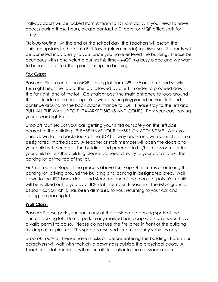hallway doors will be locked from 9:45am to 1:15pm daily. If you need to have access during these hours, please contact a Director or MQP office staff for entry.

*Pick-up routine*: At the end of the school day, the Teachers will escort the children upstairs to the South Bell Tower (elevator side) for dismissal. Students will be dismissed individually to you, once you have entered the building. Please be courteous with noise volume during this time—MQP is a busy place and we want to be respectful to other groups using the building.

## *Fox Class:*

*Parking*: Please enter the MQP parking lot from 228th SE and proceed slowly. Turn right near the top of the lot, followed by a left, in order to proceed down the far right lane of the lot. Go straight past the main entrance to loop around the back side of the building. You will pass the playground on your left and continue around to the back door entrance to JDP. Please stay to the left and PULL ALL THE WAY UP TO THE MARKED SIGNS AND CONES. Park your car, leaving your hazard lights on.

*Drop off routine*: Exit your car, getting your child out safely on the left side nearest to the building. PLEASE HAVE YOUR MASKS ON AT THIS TIME. Walk your child down to the back doors of the JDP hallway and stand with your child on a designated, marked spot. A teacher or staff member will open the doors and your child will then enter the building and proceed to his/her classroom. After your child enters the building please proceed directly to your car and exit the parking lot at the top of the lot.

*Pick up routine*: Repeat the process above for Drop-Off in terms of entering the parking lot, driving around the building and parking in designated area. Walk down to the JDP back doors and stand on one of the marked spots. Your child will be walked out to you by a JDP staff member. Please exit the MQP grounds as soon as your child has been dismissed to you, returning to your car and exiting the parking lot.

## **Wolf Class:**

*Parking*: Please park your car in any of the designated parking spots of the church parking lot. Do not park in any marked handicap spots unless you have a valid permit to do so. Please do not use the fire lanes in front of the building for drop off or pick up. This space is reserved for emergency vehicles only.

*Drop-off routine*: Please have masks on before entering the building. Parents or caregivers will wait with their child downstairs outside the preschool doors. A Teacher or staff member will escort all students into the classroom each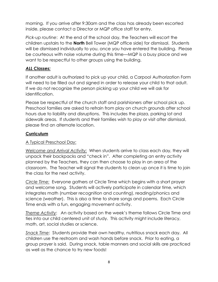morning. If you arrive after 9:30am and the class has already been escorted inside, please contact a Director or MQP office staff for entry.

*Pick-up routine*: At the end of the school day, the Teachers will escort the children upstairs to the **North** Bell Tower (MQP office side) for dismissal. Students will be dismissed individually to you, once you have entered the building. Please be courteous with noise volume during this time—MQP is a busy place and we want to be respectful to other groups using the building.

## *ALL Classes:*

If another adult is authorized to pick up your child, a Carpool Authorization Form will need to be filled out and signed in order to release your child to that adult. If we do not recognize the person picking up your child we will ask for identification.

Please be respectful of the church staff and parishioners after school pick up. Preschool families are asked to refrain from play on church grounds after school hours due to liability and disruptions. This includes the plaza, parking lot and sidewalk areas. If students and their families wish to play or visit after dismissal, please find an alternate location.

## **Curriculum**

## A Typical Preschool Day:

*Welcome and Arrival Activity:* When students arrive to class each day, they will unpack their backpacks and "check in". After completing an entry activity planned by the Teachers, they can then choose to play in an area of the classroom. The Teacher will signal the students to clean up once it is time to join the class for the next activity.

*Circle Time:* Everyone gathers at Circle Time which begins with a short prayer and welcome song. Students will actively participate in calendar time, which integrates math (number recognition and counting), reading/phonics and science (weather). This is also a time to share songs and poems. Each Circle Time ends with a fun, engaging movement activity.

*Theme Activity*: An activity based on the week's theme follows Circle Time and ties into our child centered unit of study. This activity might include literacy, math, art, social studies or science.

*Snack Time*: Students provide their own healthy, nutritious snack each day. All children use the restroom and wash hands before snack. Prior to eating, a group prayer is said. During snack, table manners and social skills are practiced as well as the chance to try new foods!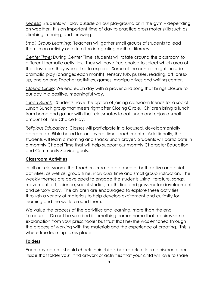*Recess:* Students will play outside on our playground or in the gym – depending on weather. It is an important time of day to practice gross motor skills such as climbing, running, and throwing.

*Small Group Learning*: Teachers will gather small groups of students to lead them in an activity or task, often integrating math or literacy.

*Center Time*: During Center Time, students will rotate around the classroom to different thematic activities. They will have free choice to select which area of the classroom they would like to explore. Some of the centers might include dramatic play (changes each month), sensory tub, puzzles, reading, art, dressup, one on one Teacher activities, games, manipulatives and writing center.

*Closing Circle*: We end each day with a prayer and song that brings closure to our day in a positive, meaningful way.

*Lunch Bunch*: Students have the option of joining classroom friends for a social Lunch Bunch group that meets right after Closing Circle. Children bring a lunch from home and gather with their classmates to eat lunch and enjoy a small amount of Free Choice Play.

*Religious Education*: Classes will participate in a focused, developmentally appropriate Bible based lesson several times each month. Additionally, the students will learn a morning and snack/lunch prayer. Students will participate in a monthly Chapel Time that will help support our monthly Character Education and Community Service goals.

## **Classroom Activities**

In all our classrooms the Teachers create a balance of both active and quiet activities, as well as, group time, individual time and small group instruction. The weekly themes are developed to engage the students using literature, songs, movement, art, science, social studies, math, fine and gross motor development and sensory play. The children are encouraged to explore these activities through a variety of materials to help develop excitement and curiosity for learning and the world around them.

We value the process of the activities and learning, more than the end "product". Do not be surprised if something comes home that requires some explanation from your preschooler but trust that he/she was enriched through the process of working with the materials and the experience of creating. This is where true learning takes place.

## **Folders**

Each day parents should check their child's backpack to locate his/her folder. Inside that folder you'll find artwork or activities that your child will love to share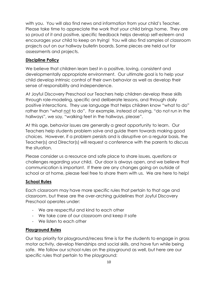with you. You will also find news and information from your child's Teacher. Please take time to appreciate the work that your child brings home. They are so proud of it and positive, specific feedback helps develop self-esteem and encourages your child to keep on trying! You will also find samples of classroom projects out on our hallway bulletin boards. Some pieces are held out for assessments and projects.

#### **Discipline Policy**

We believe that children learn best in a positive, loving, consistent and developmentally appropriate environment. Our ultimate goal is to help your child develop intrinsic control of their own behavior as well as develop their sense of responsibility and independence.

At Joyful Discovery Preschool our Teachers help children develop these skills through role-modeling, specific and deliberate lessons, and through daily positive interactions. They use language that helps children know "what to do" rather than "what not to do". For example, instead of saying, "do not run in the hallways", we say, "walking feet in the hallways, please".

At this age, behavior issues are generally a great opportunity to learn. Our Teachers help students problem solve and guide them towards making good choices. However, if a problem persists and is disruptive on a regular basis, the Teacher(s) and Director(s) will request a conference with the parents to discuss the situation.

Please consider us a resource and safe place to share issues, questions or challenges regarding your child. Our door is always open, and we believe that communication is important. If there are any changes going on outside of school or at home, please feel free to share them with us. We are here to help!

## **School Rules**

Each classroom may have more specific rules that pertain to that age and classroom, but these are the over-arching guidelines that Joyful Discovery Preschool operates under:

- We are respectful and kind to each other
- We take care of our classroom and keep it safe
- We listen to each other

## **Playground Rules**

Our top priority for playground/recess time is for the students to engage in gross motor activity, develop friendships and social skills, and have fun while being safe. We follow our school rules on the playground as well, but here are our specific rules that pertain to the playground: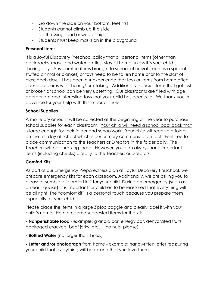- Go down the slide on your bottom, feet first
- Students cannot climb up the slide
- No throwing sand or wood chips
- Students must keep masks on in the playground

## **Personal Items**

It is a Joyful Discovery Preschool policy that all personal items (other than backpacks, masks and water bottles) stay at home unless it is your child's sharing day. Any comfort items brought to school at arrival (such as a special stuffed animal or blanket) or toys need to be taken home prior to the start of class each day. It has been our experience that toys or items from home often cause problems with sharing/turn-taking. Additionally, special items that get lost or broken at school can be very upsetting. Our classrooms are filled with age appropriate and interesting toys that your child has access to. We thank you in advance for your help with this important rule.

## **School Supplies**

A monetary amount will be collected at the beginning of the year to purchase school supplies for each classroom. Your child will need a school backpack that is large enough for their folder and schoolwork. Your child will receive a folder on the first day of school which is our primary communication tool. Feel free to place communication to the Teachers or Directors in the folder daily. The Teachers will be checking these. However, you can always hand important items (including checks) directly to the Teachers or Directors.

## **Comfort Kits**

As part of our Emergency Preparedness plan at Joyful Discovery Preschool, we prepare emergency kits for each classroom. Additionally, we are asking you to please assemble a "comfort kit" for your child. During an emergency (such as an earthquake), it is important for children to be reassured that everything will be all right. The "comfort kit" is a personal touch because you prepare them especially for your child.

Please place the items in a large Ziploc baggie and clearly label it with your child's name. Here are some suggested items for the kit:

**- Nonperishable food** - example: granola bar, energy bar, dehydrated fruits, packaged crackers, beef jerky, etc… (no nuts, please)

**- Bottled Water** (no larger than 16 oz.)

**- Letter and/or photograph** from home - example: handwritten letter reassuring your child that everything will be ok and that you love them.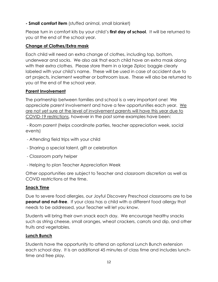**- Small comfort item** (stuffed animal, small blanket)

Please turn in comfort kits by your child's **first day of school**. It will be returned to you at the end of the school year.

## **Change of Clothes/Extra mask**

Each child will need an extra change of clothes, including top, bottom, underwear and socks. We also ask that each child have an extra mask along with their extra clothes. Please store them in a large Ziploc baggie clearly labeled with your child's name. These will be used in case of accident due to art projects, inclement weather or bathroom issue. These will also be returned to you at the end of the school year.

## **Parent Involvement**

The partnership between families and school is a very important one! We appreciate parent involvement and have a few opportunities each year. We are not yet sure at the level of involvement parents will have this year due to COVID-19 restrictions, however in the past some examples have been:

- Room parent (helps coordinate parties, teacher appreciation week, social events)

- Attending field trips with your child
- Sharing a special talent, gift or celebration
- Classroom party helper
- Helping to plan Teacher Appreciation Week

Other opportunities are subject to Teacher and classroom discretion as well as COVID restrictions at the time.

## **Snack Time**

Due to severe food allergies, our Joyful Discovery Preschool classrooms are to be **peanut and nut-free.** If your class has a child with a different food allergy that needs to be addressed, your Teacher will let you know.

Students will bring their own snack each day. We encourage healthy snacks such as string cheese, small oranges, wheat crackers, carrots and dip, and other fruits and vegetables.

## **Lunch Bunch**

Students have the opportunity to attend an optional Lunch Bunch extension each school day. It is an additional 45 minutes of class time and includes lunchtime and free play.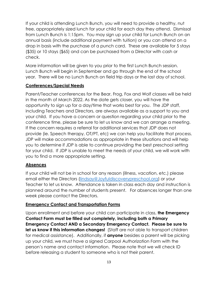If your child is attending Lunch Bunch, you will need to provide a healthy, nut free, appropriately sized lunch for your child for each day they attend. Dismissal from Lunch Bunch is 1:15pm. You may sign up your child for Lunch Bunch on an annual basis (include additional payment with tuition) or you can attend on a drop in basis with the purchase of a punch card. These are available for 5 stays (\$35) or 10 stays (\$65) and can be purchased from a Director with cash or check.

More information will be given to you prior to the first Lunch Bunch session. Lunch Bunch will begin in September and go through the end of the school year. There will be no Lunch Bunch on field trip days or the last day of school.

## **Conferences/Special Needs**

Parent/Teacher conferences for the Bear, Frog, Fox and Wolf classes will be held in the month of March 2022. As the date gets closer, you will have the opportunity to sign up for a day/time that works best for you. The JDP staff, including Teachers and Directors, are always available as a support to you and your child. If you have a concern or question regarding your child prior to the conference time, please be sure to let us know and we can arrange a meeting. If the concern requires a referral for additional services that JDP does not provide (ie. Speech therapy, OT/PT, etc) we can help you facilitate that process. JDP will make accommodations as appropriate in these situations and will help you to determine if JDP is able to continue providing the best preschool setting for your child. If JDP is unable to meet the needs of your child, we will work with you to find a more appropriate setting.

## **Absences**

If your child will not be in school for any reason (illness, vacation, etc.) please email either the Directors [\(lindsay@Joyfuldiscoverypreschool.org\)](mailto:lindsay@Joyfuldiscoverypreschool.org) or your Teacher to let us know. Attendance is taken in class each day and instruction is planned around the number of students present. For absences longer than one week please contact the Directors.

## **Emergency Contact and Transportation Forms**

Upon enrollment and before your child can participate in class, **the Emergency Contact Form must be filled out completely, including both a Primary Emergency Contact AND a Secondary Emergency Contact. Please be sure to let us know if this information changes!** (Staff are not able to transport children for medical assistance). Additionally, if **anyone** besides a parent will be picking up your child, we must have a signed Carpool Authorization Form with the person's name and contact information. Please note that we will check ID before releasing a student to someone who is not their parent.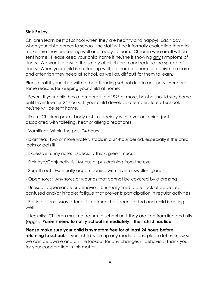## **Sick Policy**

Children learn best at school when they are healthy and happy! Each day when your child comes to school, the staff will be informally evaluating them to make sure they are feeling well and ready to learn. Children who are ill will be sent home. Please keep your child home if he/she is showing any symptoms of illness. We want to assure the safety of all children and reduce the spread of illness. When your child is not feeling well, it is hard for them to receive the care and attention they need at school, as well as, difficult for them to learn.

Please call if your child will not be attending school due to an illness. Here are some reasons for keeping your child at home:

- Fever: If your child has a temperature of 99\* or more, he/she should stay home until fever free for 24 hours. If your child develops a temperature at school, he/she will be sent home.

- Rash: Chicken pox or body rash, especially with fever or itching (not associated with toileting, heat or allergic reactions)

- Vomiting: Within the past 24 hours

- Diarrhea: Two or more watery stools in a 24-hour period, especially if the child looks or acts ill

- Excessive runny nose: Especially thick, green mucus
- Pink eye/Conjunctivitis: Mucus or pus draining from the eye
- Sore Throat: Especially accompanied with fever or swollen glands
- Open sores: Any sores or wounds that cannot be covered by a dressing

- Unusual appearance or behavior: Unusually tired, pale, lack of appetite, confused and/or irritable; fatigue that prevents participation in regular activities

- Ear infections: May attend if treatment has been started and child is acting well

- Lice/nits: Children must not return to school until they are free from lice and nits (eggs). **Parents need to notify school immediately if their child has lice!**

**Please make sure your child is symptom free for at least 24 hours before returning to school.** If your child is taking any medications, please let us know so we can be aware and on the lookout for any changes in behavior. Thank you for your cooperation in this matter.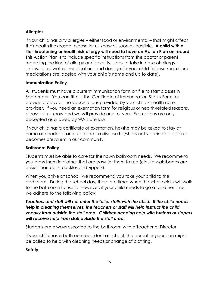# **Allergies**

If your child has any allergies – either food or environmental – that might affect their health if exposed, please let us know as soon as possible**. A child with a life-threatening or health risk allergy will need to have an Action Plan on record**. This Action Plan is to include specific instructions from the doctor or parent regarding the kind of allergy and severity, steps to take in case of allergy exposure, as well as, medications and dosage for your child (please make sure medications are labeled with your child's name and up to date).

## **Immunization Policy**

All students must have a current immunization form on file to start classes in September. You can fill out the Certificate of Immunization Status Form, or provide a copy of the vaccinations provided by your child's health care provider. If you need an exemption form for religious or health-related reasons, please let us know and we will provide one for you. Exemptions are only accepted as allowed by WA state law.

If your child has a certificate of exemption, he/she may be asked to stay at home as needed if an outbreak of a disease he/she is not vaccinated against becomes prevalent in our community.

## **Bathroom Policy**

Students must be able to care for their own bathroom needs. We recommend you dress them in clothes that are easy for them to use (elastic waistbands are easier than belts, buckles and zippers).

When you arrive at school, we recommend you take your child to the bathroom. During the school day, there are times when the whole class will walk to the bathroom to use it. However, if your child needs to go at another time, we adhere to the following policy:

## *Teachers and staff will not enter the toilet stalls with the child. If the child needs help in cleaning themselves, the teachers or staff will help instruct the child vocally from outside the stall area. Children needing help with buttons or zippers will receive help from staff outside the stall area.*

Students are always escorted to the bathroom with a Teacher or Director.

If your child has a bathroom accident at school, the parent or guardian might be called to help with cleaning needs or change of clothing.

## **Safety**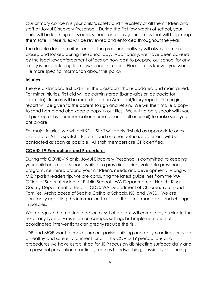Our primary concern is your child's safety and the safety of all the children and staff at Joyful Discovery Preschool. During the first few weeks of school, your child will be learning classroom, school, and playground rules that will help keep them safe. These rules will be reviewed and enforced throughout the year.

The double doors on either end of the preschool hallway will always remain closed and locked during the school day. Additionally, we have been advised by the local law enforcement offices on how best to prepare our school for any safety issues, including lockdowns and intruders. Please let us know if you would like more specific information about this policy.

## **Injuries**

There is a standard first aid kit in the classroom that is updated and maintained. For minor injuries, first aid will be administered (band-aids or ice packs for example). Injuries will be recorded on an Accident/Injury report. The original report will be given to the parent to sign and return. We will then make a copy to send home and also keep a copy in our files. We will verbally speak with you at pick-up or by communication home (phone call or email) to make sure you are aware.

For major injuries, we will call 911. Staff will apply first aid as appropriate or as directed for 911 dispatch. Parents and or other authorized persons will be contacted as soon as possible. All staff members are CPR certified.

## **COVID-19 Precautions and Procedures**

During this COVID-19 crisis, Joyful Discovery Preschool is committed to keeping your children safe at school, while also providing a rich, valuable preschool program, centered around your children's needs and development. Along with MQP parish leadership, we are consulting the latest guidelines from the WA Office of Superintendent of Public Schools, WA Department of Health, King County Department of Health, CDC, WA Department of Children, Youth and Families, Archdiocese of Seattle Catholic Schools, ISD and LWSD. We are constantly updating this information to reflect the latest mandates and changes in policies.

We recognize that no single action or set of actions will completely eliminate the risk of any type of virus in an on-campus setting, but implementation of coordinated interventions can greatly reduce the risk.

JDP and MQP want to make sure our parish building and daily practices provide a healthy and safe environment for all. The COVID-19 precautions and procedures we have established for JDP focus on disinfecting surfaces daily and on personal prevention practices, such as handwashing, physically distancing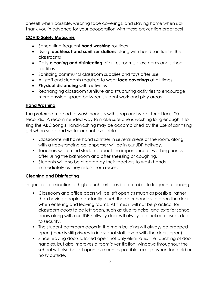oneself when possible, wearing face coverings, and staying home when sick. Thank you in advance for your cooperation with these prevention practices!

## **COVID Safety Measures**

- **Scheduling frequent hand washing routines**
- Using **touchless hand sanitizer stations** along with hand sanitizer in the classrooms
- Daily **cleaning and disinfecting** of all restrooms, classrooms and school facilities
- Sanitizing communal classroom supplies and toys after use
- All staff and students required to wear **face coverings** at all times
- **Physical distancing** with activities
- Rearranging classroom furniture and structuring activities to encourage more physical space between student work and play areas

# **Hand Washing**

The preferred method to wash hands is with soap and water for at least 20 seconds. (A recommended way to make sure one is washing long enough is to sing the ABC Song.) Handwashing may be accomplished by the use of sanitizing gel when soap and water are not available.

- Classrooms will have hand sanitizer in several areas of the room, along with a free-standing gel dispenser will be in our JDP hallway.
- Teachers will remind students about the importance of washing hands after using the bathroom and after sneezing or coughing.
- Students will also be directed by their teachers to wash hands immediately as they return from recess.

## **Cleaning and Disinfecting**

In general, elimination of high-touch surfaces is preferable to frequent cleaning.

- Classroom and office doors will be left open as much as possible, rather than having people constantly touch the door handles to open the door when entering and leaving rooms. At times it will not be practical for classroom doors to be left open, such as due to noise, and exterior school doors along with our JDP hallway door will always be locked closed, due to security.
- The student bathroom doors in the main building will always be propped open (there is still privacy in individual stalls even with the doors open).
- Since leaving doors latched open not only eliminates the touching of door handles, but also improves a room's ventilation, windows throughout the school will also be left open as much as possible, except when too cold or noisy outside.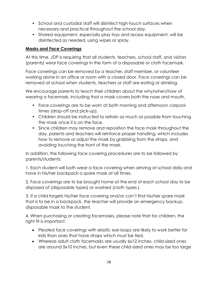- School and custodial staff will disinfect high-touch surfaces when necessary and practical throughout the school day.
- Shared equipment, especially play toys and recess equipment, will be disinfected as needed, using wipes or spray.

#### **Masks and Face Coverings**

At this time, JDP is requiring that all students, teachers, school staff, and visitors (parents) wear face coverings in the form of a disposable or cloth facemask.

Face coverings can be removed by a teacher, staff member, or volunteer working alone in an office or room with a closed door. Face coverings can be removed at school when students, teachers or staff are eating or drinking.

We encourage parents to teach their children about the why/when/how of wearing a facemask, including that a mask covers both the nose and mouth.

- Face coverings are to be worn at both morning and afternoon carpool times (drop-off and pick-up).
- Children should be instructed to refrain as much as possible from touching the mask once it is on the face.
- Since children may remove and reposition the face mask throughout the day, parents and teachers will reinforce proper handling, which includes how to remove or adjust the mask by grabbing from the straps, and avoiding touching the front of the mask.

In addition, the following face covering procedures are to be followed by parents/students:

1. Each student will both wear a face covering when arriving at school daily and have in his/her backpack a spare mask at all times.

2. Face coverings are to be brought home at the end of each school day to be disposed of (disposable types) or washed (cloth types.)

3. If a child forgets his/her face covering and/or can't find his/her spare mask that is to be in a backpack, the teacher will provide an emergency backup, disposable mask to the student.

4. When purchasing or creating facemasks, please note that for children, the right fit is important.

- Pleated face coverings with elastic ear-loops are likely to work better for kids than ones that have straps which must be tied.
- Whereas adult cloth facemasks are usually 6x12 inches, child-sized ones are around 5x10 inches, but even these child-sized ones may be too large